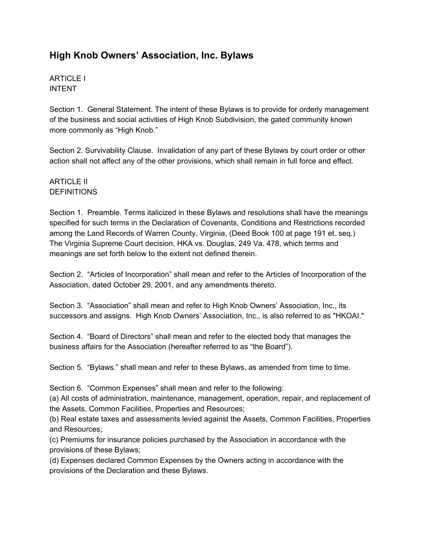# **High Knob Owners' Association, Inc. Bylaws**

ARTICLE I INTENT

Section 1. General Statement. The intent of these Bylaws is to provide for orderly management of the business and social activities of High Knob Subdivision, the gated community known more commonly as "High Knob."

Section 2. Survivability Clause. Invalidation of any part of these Bylaws by court order or other action shall not affect any of the other provisions, which shall remain in full force and effect.

## ARTICLE II **DEFINITIONS**

Section 1. Preamble. Terms italicized in these Bylaws and resolutions shall have the meanings specified for such terms in the Declaration of Covenants, Conditions and Restrictions recorded among the Land Records of Warren County, Virginia, (Deed Book 100 at page 191 et. seq.) The Virginia Supreme Court decision, HKA vs. Douglas, 249 Va. 478, which terms and meanings are set forth below to the extent not defined therein.

Section 2. "Articles of Incorporation" shall mean and refer to the Articles of Incorporation of the Association, dated October 29, 2001, and any amendments thereto.

Section 3. "Association" shall mean and refer to High Knob Owners' Association, Inc., its successors and assigns. High Knob Owners' Association, Inc., is also referred to as "HKOAI."

Section 4. "Board of Directors" shall mean and refer to the elected body that manages the business affairs for the Association (hereafter referred to as "the Board").

Section 5. "Bylaws." shall mean and refer to these Bylaws, as amended from time to time.

Section 6. "Common Expenses" shall mean and refer to the following:

(a) All costs of administration, maintenance, management, operation, repair, and replacement of the Assets, Common Facilities, Properties and Resources;

(b) Real estate taxes and assessments levied against the Assets, Common Facilities, Properties and Resources;

(c) Premiums for insurance policies purchased by the Association in accordance with the provisions of these Bylaws;

(d) Expenses declared Common Expenses by the Owners acting in accordance with the provisions of the Declaration and these Bylaws.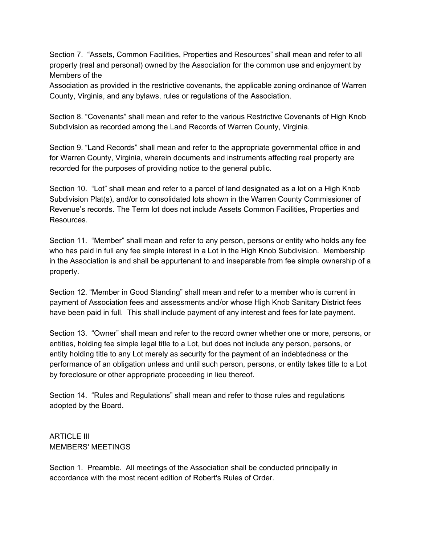Section 7. "Assets, Common Facilities, Properties and Resources" shall mean and refer to all property (real and personal) owned by the Association for the common use and enjoyment by Members of the

Association as provided in the restrictive covenants, the applicable zoning ordinance of Warren County, Virginia, and any bylaws, rules or regulations of the Association.

Section 8. "Covenants" shall mean and refer to the various Restrictive Covenants of High Knob Subdivision as recorded among the Land Records of Warren County, Virginia.

Section 9. "Land Records" shall mean and refer to the appropriate governmental office in and for Warren County, Virginia, wherein documents and instruments affecting real property are recorded for the purposes of providing notice to the general public.

Section 10. "Lot" shall mean and refer to a parcel of land designated as a lot on a High Knob Subdivision Plat(s), and/or to consolidated lots shown in the Warren County Commissioner of Revenue's records. The Term lot does not include Assets Common Facilities, Properties and Resources.

Section 11. "Member" shall mean and refer to any person, persons or entity who holds any fee who has paid in full any fee simple interest in a Lot in the High Knob Subdivision. Membership in the Association is and shall be appurtenant to and inseparable from fee simple ownership of a property.

Section 12. "Member in Good Standing" shall mean and refer to a member who is current in payment of Association fees and assessments and/or whose High Knob Sanitary District fees have been paid in full. This shall include payment of any interest and fees for late payment.

Section 13. "Owner" shall mean and refer to the record owner whether one or more, persons, or entities, holding fee simple legal title to a Lot, but does not include any person, persons, or entity holding title to any Lot merely as security for the payment of an indebtedness or the performance of an obligation unless and until such person, persons, or entity takes title to a Lot by foreclosure or other appropriate proceeding in lieu thereof.

Section 14. "Rules and Regulations" shall mean and refer to those rules and regulations adopted by the Board.

ARTICLE III MEMBERS' MEETINGS

Section 1. Preamble. All meetings of the Association shall be conducted principally in accordance with the most recent edition of Robert's Rules of Order.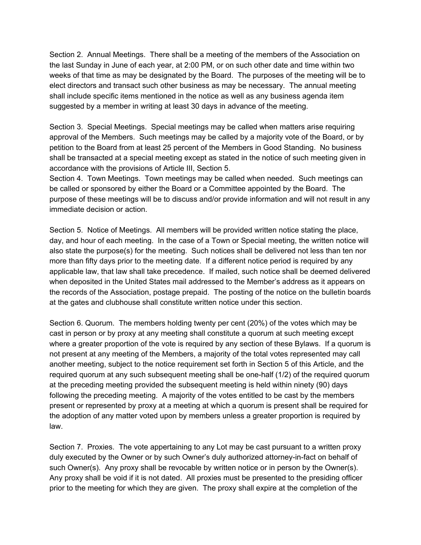Section 2. Annual Meetings. There shall be a meeting of the members of the Association on the last Sunday in June of each year, at 2:00 PM, or on such other date and time within two weeks of that time as may be designated by the Board. The purposes of the meeting will be to elect directors and transact such other business as may be necessary. The annual meeting shall include specific items mentioned in the notice as well as any business agenda item suggested by a member in writing at least 30 days in advance of the meeting.

Section 3. Special Meetings. Special meetings may be called when matters arise requiring approval of the Members. Such meetings may be called by a majority vote of the Board, or by petition to the Board from at least 25 percent of the Members in Good Standing. No business shall be transacted at a special meeting except as stated in the notice of such meeting given in accordance with the provisions of Article III, Section 5.

Section 4. Town Meetings. Town meetings may be called when needed. Such meetings can be called or sponsored by either the Board or a Committee appointed by the Board. The purpose of these meetings will be to discuss and/or provide information and will not result in any immediate decision or action.

Section 5. Notice of Meetings. All members will be provided written notice stating the place, day, and hour of each meeting. In the case of a Town or Special meeting, the written notice will also state the purpose(s) for the meeting. Such notices shall be delivered not less than ten nor more than fifty days prior to the meeting date. If a different notice period is required by any applicable law, that law shall take precedence. If mailed, such notice shall be deemed delivered when deposited in the United States mail addressed to the Member's address as it appears on the records of the Association, postage prepaid. The posting of the notice on the bulletin boards at the gates and clubhouse shall constitute written notice under this section.

Section 6. Quorum. The members holding twenty per cent (20%) of the votes which may be cast in person or by proxy at any meeting shall constitute a quorum at such meeting except where a greater proportion of the vote is required by any section of these Bylaws. If a quorum is not present at any meeting of the Members, a majority of the total votes represented may call another meeting, subject to the notice requirement set forth in Section 5 of this Article, and the required quorum at any such subsequent meeting shall be one-half (1/2) of the required quorum at the preceding meeting provided the subsequent meeting is held within ninety (90) days following the preceding meeting. A majority of the votes entitled to be cast by the members present or represented by proxy at a meeting at which a quorum is present shall be required for the adoption of any matter voted upon by members unless a greater proportion is required by law.

Section 7. Proxies. The vote appertaining to any Lot may be cast pursuant to a written proxy duly executed by the Owner or by such Owner's duly authorized attorney-in-fact on behalf of such Owner(s). Any proxy shall be revocable by written notice or in person by the Owner(s). Any proxy shall be void if it is not dated. All proxies must be presented to the presiding officer prior to the meeting for which they are given. The proxy shall expire at the completion of the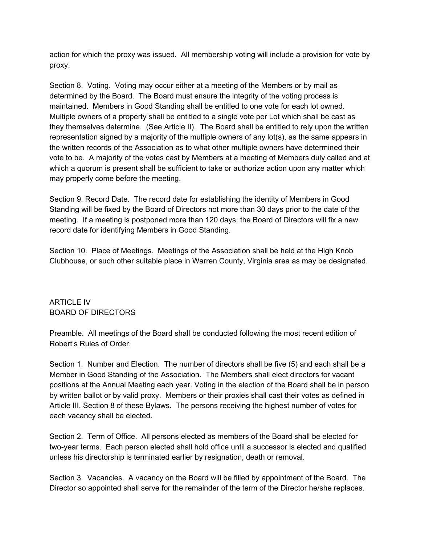action for which the proxy was issued. All membership voting will include a provision for vote by proxy.

Section 8. Voting. Voting may occur either at a meeting of the Members or by mail as determined by the Board. The Board must ensure the integrity of the voting process is maintained. Members in Good Standing shall be entitled to one vote for each lot owned. Multiple owners of a property shall be entitled to a single vote per Lot which shall be cast as they themselves determine. (See Article II). The Board shall be entitled to rely upon the written representation signed by a majority of the multiple owners of any lot(s), as the same appears in the written records of the Association as to what other multiple owners have determined their vote to be. A majority of the votes cast by Members at a meeting of Members duly called and at which a quorum is present shall be sufficient to take or authorize action upon any matter which may properly come before the meeting.

Section 9. Record Date. The record date for establishing the identity of Members in Good Standing will be fixed by the Board of Directors not more than 30 days prior to the date of the meeting. If a meeting is postponed more than 120 days, the Board of Directors will fix a new record date for identifying Members in Good Standing.

Section 10. Place of Meetings. Meetings of the Association shall be held at the High Knob Clubhouse, or such other suitable place in Warren County, Virginia area as may be designated.

## ARTICLE IV BOARD OF DIRECTORS

Preamble. All meetings of the Board shall be conducted following the most recent edition of Robert's Rules of Order.

Section 1. Number and Election. The number of directors shall be five (5) and each shall be a Member in Good Standing of the Association. The Members shall elect directors for vacant positions at the Annual Meeting each year. Voting in the election of the Board shall be in person by written ballot or by valid proxy. Members or their proxies shall cast their votes as defined in Article III, Section 8 of these Bylaws. The persons receiving the highest number of votes for each vacancy shall be elected.

Section 2. Term of Office. All persons elected as members of the Board shall be elected for two-year terms. Each person elected shall hold office until a successor is elected and qualified unless his directorship is terminated earlier by resignation, death or removal.

Section 3. Vacancies. A vacancy on the Board will be filled by appointment of the Board. The Director so appointed shall serve for the remainder of the term of the Director he/she replaces.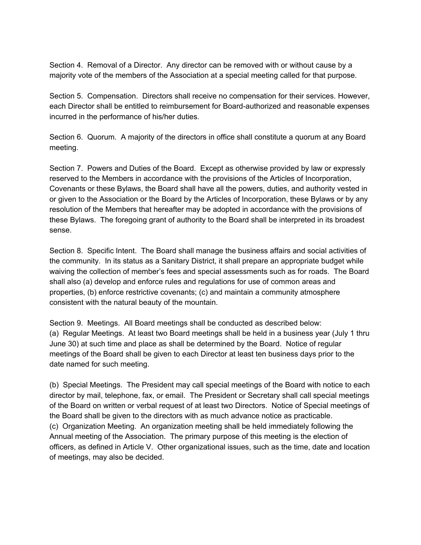Section 4. Removal of a Director. Any director can be removed with or without cause by a majority vote of the members of the Association at a special meeting called for that purpose.

Section 5. Compensation. Directors shall receive no compensation for their services. However, each Director shall be entitled to reimbursement for Board-authorized and reasonable expenses incurred in the performance of his/her duties.

Section 6. Quorum. A majority of the directors in office shall constitute a quorum at any Board meeting.

Section 7. Powers and Duties of the Board. Except as otherwise provided by law or expressly reserved to the Members in accordance with the provisions of the Articles of Incorporation, Covenants or these Bylaws, the Board shall have all the powers, duties, and authority vested in or given to the Association or the Board by the Articles of Incorporation, these Bylaws or by any resolution of the Members that hereafter may be adopted in accordance with the provisions of these Bylaws. The foregoing grant of authority to the Board shall be interpreted in its broadest sense.

Section 8. Specific Intent. The Board shall manage the business affairs and social activities of the community. In its status as a Sanitary District, it shall prepare an appropriate budget while waiving the collection of member's fees and special assessments such as for roads. The Board shall also (a) develop and enforce rules and regulations for use of common areas and properties, (b) enforce restrictive covenants; (c) and maintain a community atmosphere consistent with the natural beauty of the mountain.

Section 9. Meetings. All Board meetings shall be conducted as described below: (a) Regular Meetings. At least two Board meetings shall be held in a business year (July 1 thru June 30) at such time and place as shall be determined by the Board. Notice of regular meetings of the Board shall be given to each Director at least ten business days prior to the date named for such meeting.

(b) Special Meetings. The President may call special meetings of the Board with notice to each director by mail, telephone, fax, or email. The President or Secretary shall call special meetings of the Board on written or verbal request of at least two Directors. Notice of Special meetings of the Board shall be given to the directors with as much advance notice as practicable. (c) Organization Meeting. An organization meeting shall be held immediately following the Annual meeting of the Association. The primary purpose of this meeting is the election of officers, as defined in Article V. Other organizational issues, such as the time, date and location of meetings, may also be decided.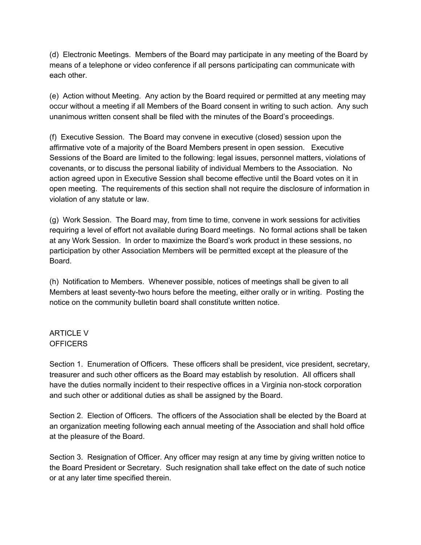(d) Electronic Meetings. Members of the Board may participate in any meeting of the Board by means of a telephone or video conference if all persons participating can communicate with each other.

(e) Action without Meeting. Any action by the Board required or permitted at any meeting may occur without a meeting if all Members of the Board consent in writing to such action. Any such unanimous written consent shall be filed with the minutes of the Board's proceedings.

(f) Executive Session. The Board may convene in executive (closed) session upon the affirmative vote of a majority of the Board Members present in open session. Executive Sessions of the Board are limited to the following: legal issues, personnel matters, violations of covenants, or to discuss the personal liability of individual Members to the Association. No action agreed upon in Executive Session shall become effective until the Board votes on it in open meeting. The requirements of this section shall not require the disclosure of information in violation of any statute or law.

(g) Work Session. The Board may, from time to time, convene in work sessions for activities requiring a level of effort not available during Board meetings. No formal actions shall be taken at any Work Session. In order to maximize the Board's work product in these sessions, no participation by other Association Members will be permitted except at the pleasure of the Board.

(h) Notification to Members. Whenever possible, notices of meetings shall be given to all Members at least seventy-two hours before the meeting, either orally or in writing. Posting the notice on the community bulletin board shall constitute written notice.

#### ARTICLE V **OFFICERS**

Section 1. Enumeration of Officers. These officers shall be president, vice president, secretary, treasurer and such other officers as the Board may establish by resolution. All officers shall have the duties normally incident to their respective offices in a Virginia non-stock corporation and such other or additional duties as shall be assigned by the Board.

Section 2. Election of Officers. The officers of the Association shall be elected by the Board at an organization meeting following each annual meeting of the Association and shall hold office at the pleasure of the Board.

Section 3. Resignation of Officer. Any officer may resign at any time by giving written notice to the Board President or Secretary. Such resignation shall take effect on the date of such notice or at any later time specified therein.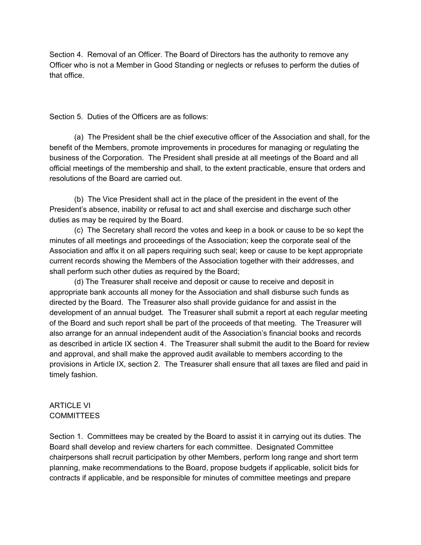Section 4. Removal of an Officer. The Board of Directors has the authority to remove any Officer who is not a Member in Good Standing or neglects or refuses to perform the duties of that office.

Section 5. Duties of the Officers are as follows:

(a) The President shall be the chief executive officer of the Association and shall, for the benefit of the Members, promote improvements in procedures for managing or regulating the business of the Corporation. The President shall preside at all meetings of the Board and all official meetings of the membership and shall, to the extent practicable, ensure that orders and resolutions of the Board are carried out.

(b) The Vice President shall act in the place of the president in the event of the President's absence, inability or refusal to act and shall exercise and discharge such other duties as may be required by the Board.

(c) The Secretary shall record the votes and keep in a book or cause to be so kept the minutes of all meetings and proceedings of the Association; keep the corporate seal of the Association and affix it on all papers requiring such seal; keep or cause to be kept appropriate current records showing the Members of the Association together with their addresses, and shall perform such other duties as required by the Board;

(d) The Treasurer shall receive and deposit or cause to receive and deposit in appropriate bank accounts all money for the Association and shall disburse such funds as directed by the Board. The Treasurer also shall provide guidance for and assist in the development of an annual budget. The Treasurer shall submit a report at each regular meeting of the Board and such report shall be part of the proceeds of that meeting. The Treasurer will also arrange for an annual independent audit of the Association's financial books and records as described in article IX section 4. The Treasurer shall submit the audit to the Board for review and approval, and shall make the approved audit available to members according to the provisions in Article IX, section 2. The Treasurer shall ensure that all taxes are filed and paid in timely fashion.

#### ARTICLE VI **COMMITTEES**

Section 1. Committees may be created by the Board to assist it in carrying out its duties. The Board shall develop and review charters for each committee. Designated Committee chairpersons shall recruit participation by other Members, perform long range and short term planning, make recommendations to the Board, propose budgets if applicable, solicit bids for contracts if applicable, and be responsible for minutes of committee meetings and prepare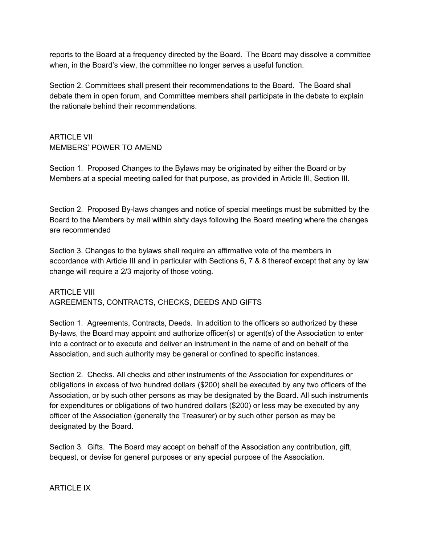reports to the Board at a frequency directed by the Board. The Board may dissolve a committee when, in the Board's view, the committee no longer serves a useful function.

Section 2. Committees shall present their recommendations to the Board. The Board shall debate them in open forum, and Committee members shall participate in the debate to explain the rationale behind their recommendations.

# ARTICLE VII MEMBERS' POWER TO AMEND

Section 1. Proposed Changes to the Bylaws may be originated by either the Board or by Members at a special meeting called for that purpose, as provided in Article III, Section III.

Section 2. Proposed By-laws changes and notice of special meetings must be submitted by the Board to the Members by mail within sixty days following the Board meeting where the changes are recommended

Section 3. Changes to the bylaws shall require an affirmative vote of the members in accordance with Article III and in particular with Sections 6, 7 & 8 thereof except that any by law change will require a 2/3 majority of those voting.

ARTICLE VIII AGREEMENTS, CONTRACTS, CHECKS, DEEDS AND GIFTS

Section 1. Agreements, Contracts, Deeds. In addition to the officers so authorized by these By-laws, the Board may appoint and authorize officer(s) or agent(s) of the Association to enter into a contract or to execute and deliver an instrument in the name of and on behalf of the Association, and such authority may be general or confined to specific instances.

Section 2. Checks. All checks and other instruments of the Association for expenditures or obligations in excess of two hundred dollars (\$200) shall be executed by any two officers of the Association, or by such other persons as may be designated by the Board. All such instruments for expenditures or obligations of two hundred dollars (\$200) or less may be executed by any officer of the Association (generally the Treasurer) or by such other person as may be designated by the Board.

Section 3. Gifts. The Board may accept on behalf of the Association any contribution, gift, bequest, or devise for general purposes or any special purpose of the Association.

#### ARTICLE IX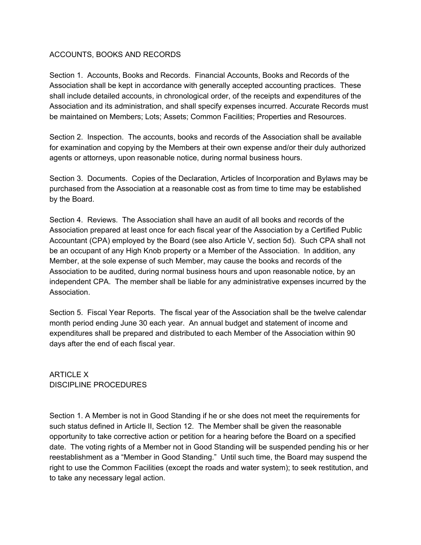#### ACCOUNTS, BOOKS AND RECORDS

Section 1. Accounts, Books and Records. Financial Accounts, Books and Records of the Association shall be kept in accordance with generally accepted accounting practices. These shall include detailed accounts, in chronological order, of the receipts and expenditures of the Association and its administration, and shall specify expenses incurred. Accurate Records must be maintained on Members; Lots; Assets; Common Facilities; Properties and Resources.

Section 2. Inspection. The accounts, books and records of the Association shall be available for examination and copying by the Members at their own expense and/or their duly authorized agents or attorneys, upon reasonable notice, during normal business hours.

Section 3. Documents. Copies of the Declaration, Articles of Incorporation and Bylaws may be purchased from the Association at a reasonable cost as from time to time may be established by the Board.

Section 4. Reviews. The Association shall have an audit of all books and records of the Association prepared at least once for each fiscal year of the Association by a Certified Public Accountant (CPA) employed by the Board (see also Article V, section 5d). Such CPA shall not be an occupant of any High Knob property or a Member of the Association. In addition, any Member, at the sole expense of such Member, may cause the books and records of the Association to be audited, during normal business hours and upon reasonable notice, by an independent CPA. The member shall be liable for any administrative expenses incurred by the Association.

Section 5. Fiscal Year Reports. The fiscal year of the Association shall be the twelve calendar month period ending June 30 each year. An annual budget and statement of income and expenditures shall be prepared and distributed to each Member of the Association within 90 days after the end of each fiscal year.

ARTICLE X DISCIPLINE PROCEDURES

Section 1. A Member is not in Good Standing if he or she does not meet the requirements for such status defined in Article II, Section 12. The Member shall be given the reasonable opportunity to take corrective action or petition for a hearing before the Board on a specified date. The voting rights of a Member not in Good Standing will be suspended pending his or her reestablishment as a "Member in Good Standing." Until such time, the Board may suspend the right to use the Common Facilities (except the roads and water system); to seek restitution, and to take any necessary legal action.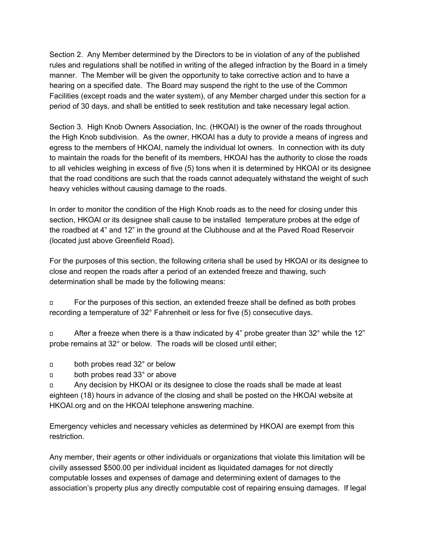Section 2. Any Member determined by the Directors to be in violation of any of the published rules and regulations shall be notified in writing of the alleged infraction by the Board in a timely manner. The Member will be given the opportunity to take corrective action and to have a hearing on a specified date. The Board may suspend the right to the use of the Common Facilities (except roads and the water system), of any Member charged under this section for a period of 30 days, and shall be entitled to seek restitution and take necessary legal action.

Section 3. High Knob Owners Association, Inc. (HKOAI) is the owner of the roads throughout the High Knob subdivision. As the owner, HKOAI has a duty to provide a means of ingress and egress to the members of HKOAI, namely the individual lot owners. In connection with its duty to maintain the roads for the benefit of its members, HKOAI has the authority to close the roads to all vehicles weighing in excess of five (5) tons when it is determined by HKOAI or its designee that the road conditions are such that the roads cannot adequately withstand the weight of such heavy vehicles without causing damage to the roads.

In order to monitor the condition of the High Knob roads as to the need for closing under this section, HKOAI or its designee shall cause to be installed temperature probes at the edge of the roadbed at 4" and 12" in the ground at the Clubhouse and at the Paved Road Reservoir (located just above Greenfield Road).

For the purposes of this section, the following criteria shall be used by HKOAI or its designee to close and reopen the roads after a period of an extended freeze and thawing, such determination shall be made by the following means:

 For the purposes of this section, an extended freeze shall be defined as both probes recording a temperature of 32° Fahrenheit or less for five (5) consecutive days.

 $\Box$  After a freeze when there is a thaw indicated by 4" probe greater than 32° while the 12" probe remains at 32° or below. The roads will be closed until either;

- both probes read 32° or below
- both probes read 33° or above

 Any decision by HKOAI or its designee to close the roads shall be made at least eighteen (18) hours in advance of the closing and shall be posted on the HKOAI website at HKOAI.org and on the HKOAI telephone answering machine.

Emergency vehicles and necessary vehicles as determined by HKOAI are exempt from this restriction.

Any member, their agents or other individuals or organizations that violate this limitation will be civilly assessed \$500.00 per individual incident as liquidated damages for not directly computable losses and expenses of damage and determining extent of damages to the association's property plus any directly computable cost of repairing ensuing damages. If legal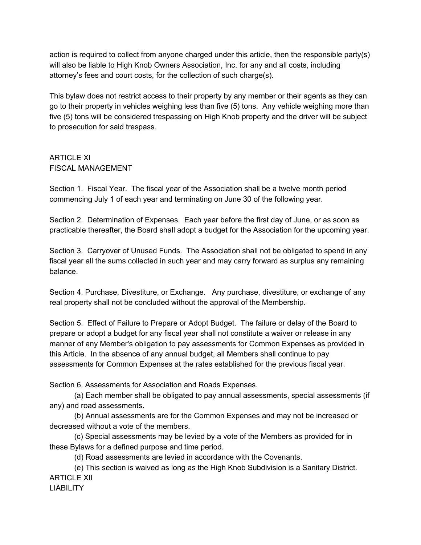action is required to collect from anyone charged under this article, then the responsible party(s) will also be liable to High Knob Owners Association, Inc. for any and all costs, including attorney's fees and court costs, for the collection of such charge(s).

This bylaw does not restrict access to their property by any member or their agents as they can go to their property in vehicles weighing less than five (5) tons. Any vehicle weighing more than five (5) tons will be considered trespassing on High Knob property and the driver will be subject to prosecution for said trespass.

#### ARTICLE XI FISCAL MANAGEMENT

Section 1. Fiscal Year. The fiscal year of the Association shall be a twelve month period commencing July 1 of each year and terminating on June 30 of the following year.

Section 2. Determination of Expenses. Each year before the first day of June, or as soon as practicable thereafter, the Board shall adopt a budget for the Association for the upcoming year.

Section 3. Carryover of Unused Funds. The Association shall not be obligated to spend in any fiscal year all the sums collected in such year and may carry forward as surplus any remaining balance.

Section 4. Purchase, Divestiture, or Exchange. Any purchase, divestiture, or exchange of any real property shall not be concluded without the approval of the Membership.

Section 5. Effect of Failure to Prepare or Adopt Budget. The failure or delay of the Board to prepare or adopt a budget for any fiscal year shall not constitute a waiver or release in any manner of any Member's obligation to pay assessments for Common Expenses as provided in this Article. In the absence of any annual budget, all Members shall continue to pay assessments for Common Expenses at the rates established for the previous fiscal year.

Section 6. Assessments for Association and Roads Expenses.

(a) Each member shall be obligated to pay annual assessments, special assessments (if any) and road assessments.

(b) Annual assessments are for the Common Expenses and may not be increased or decreased without a vote of the members.

(c) Special assessments may be levied by a vote of the Members as provided for in these Bylaws for a defined purpose and time period.

(d) Road assessments are levied in accordance with the Covenants.

(e) This section is waived as long as the High Knob Subdivision is a Sanitary District. ARTICLE XII **LIABILITY**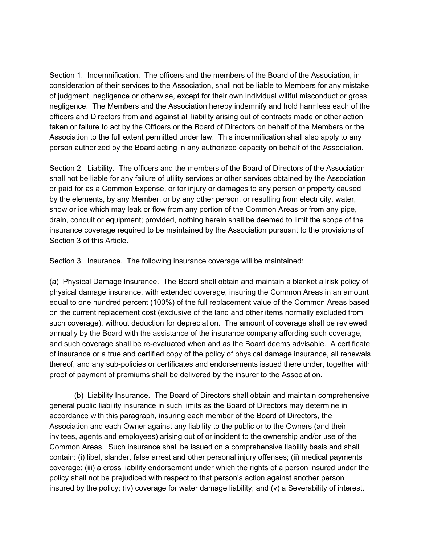Section 1. Indemnification. The officers and the members of the Board of the Association, in consideration of their services to the Association, shall not be liable to Members for any mistake of judgment, negligence or otherwise, except for their own individual willful misconduct or gross negligence. The Members and the Association hereby indemnify and hold harmless each of the officers and Directors from and against all liability arising out of contracts made or other action taken or failure to act by the Officers or the Board of Directors on behalf of the Members or the Association to the full extent permitted under law. This indemnification shall also apply to any person authorized by the Board acting in any authorized capacity on behalf of the Association.

Section 2. Liability. The officers and the members of the Board of Directors of the Association shall not be liable for any failure of utility services or other services obtained by the Association or paid for as a Common Expense, or for injury or damages to any person or property caused by the elements, by any Member, or by any other person, or resulting from electricity, water, snow or ice which may leak or flow from any portion of the Common Areas or from any pipe, drain, conduit or equipment; provided, nothing herein shall be deemed to limit the scope of the insurance coverage required to be maintained by the Association pursuant to the provisions of Section 3 of this Article.

Section 3. Insurance. The following insurance coverage will be maintained:

(a) Physical Damage Insurance. The Board shall obtain and maintain a blanket allrisk policy of physical damage insurance, with extended coverage, insuring the Common Areas in an amount equal to one hundred percent (100%) of the full replacement value of the Common Areas based on the current replacement cost (exclusive of the land and other items normally excluded from such coverage), without deduction for depreciation. The amount of coverage shall be reviewed annually by the Board with the assistance of the insurance company affording such coverage, and such coverage shall be re-evaluated when and as the Board deems advisable. A certificate of insurance or a true and certified copy of the policy of physical damage insurance, all renewals thereof, and any sub-policies or certificates and endorsements issued there under, together with proof of payment of premiums shall be delivered by the insurer to the Association.

(b) Liability Insurance. The Board of Directors shall obtain and maintain comprehensive general public liability insurance in such limits as the Board of Directors may determine in accordance with this paragraph, insuring each member of the Board of Directors, the Association and each Owner against any liability to the public or to the Owners (and their invitees, agents and employees) arising out of or incident to the ownership and/or use of the Common Areas. Such insurance shall be issued on a comprehensive liability basis and shall contain: (i) libel, slander, false arrest and other personal injury offenses; (ii) medical payments coverage; (iii) a cross liability endorsement under which the rights of a person insured under the policy shall not be prejudiced with respect to that person's action against another person insured by the policy; (iv) coverage for water damage liability; and (v) a Severability of interest.